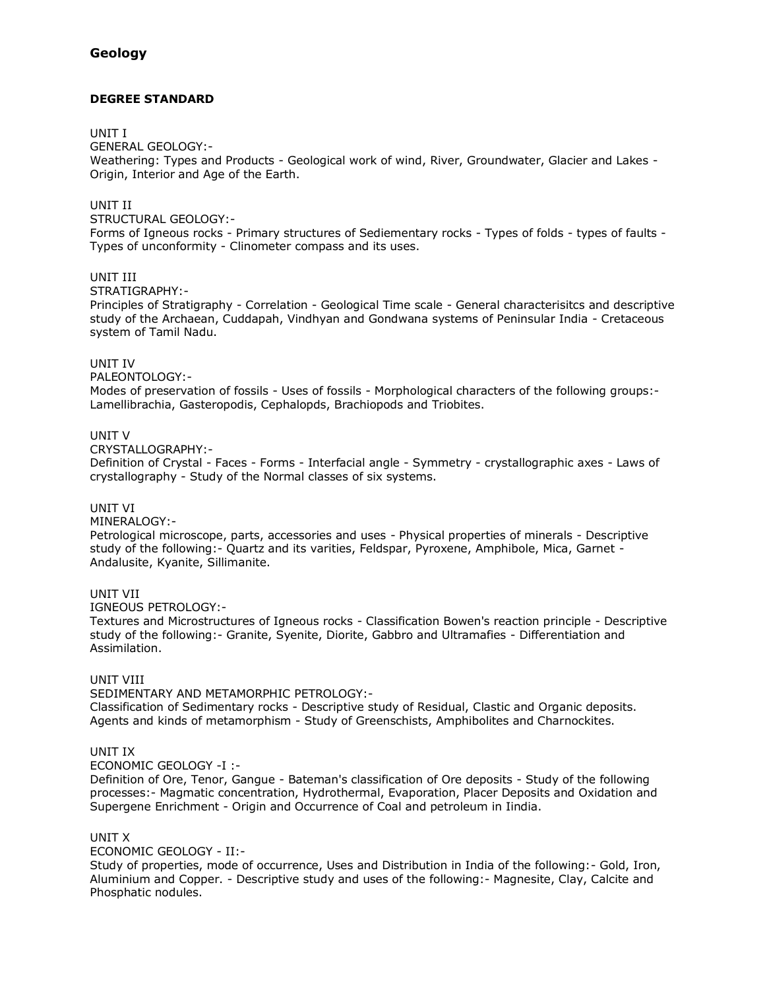# **Geology**

# **DEGREE STANDARD**

#### UNIT I

GENERAL GEOLOGY:-

Weathering: Types and Products - Geological work of wind, River, Groundwater, Glacier and Lakes - Origin, Interior and Age of the Earth.

## UNIT II

#### STRUCTURAL GEOLOGY:-

Forms of Igneous rocks - Primary structures of Sediementary rocks - Types of folds - types of faults - Types of unconformity - Clinometer compass and its uses.

## UNIT III

#### STRATIGRAPHY:-

Principles of Stratigraphy - Correlation - Geological Time scale - General characterisitcs and descriptive study of the Archaean, Cuddapah, Vindhyan and Gondwana systems of Peninsular India - Cretaceous system of Tamil Nadu.

#### UNIT IV

PALEONTOLOGY:-

Modes of preservation of fossils - Uses of fossils - Morphological characters of the following groups:- Lamellibrachia, Gasteropodis, Cephalopds, Brachiopods and Triobites.

## UNIT V

CRYSTALLOGRAPHY:-

Definition of Crystal - Faces - Forms - Interfacial angle - Symmetry - crystallographic axes - Laws of crystallography - Study of the Normal classes of six systems.

# UNIT VI

MINERALOGY:-

Petrological microscope, parts, accessories and uses - Physical properties of minerals - Descriptive study of the following:- Quartz and its varities, Feldspar, Pyroxene, Amphibole, Mica, Garnet - Andalusite, Kyanite, Sillimanite.

#### UNIT VII

IGNEOUS PETROLOGY:-

Textures and Microstructures of Igneous rocks - Classification Bowen's reaction principle - Descriptive study of the following:- Granite, Syenite, Diorite, Gabbro and Ultramafies - Differentiation and Assimilation.

# UNIT VIII

SEDIMENTARY AND METAMORPHIC PETROLOGY:- Classification of Sedimentary rocks - Descriptive study of Residual, Clastic and Organic deposits. Agents and kinds of metamorphism - Study of Greenschists, Amphibolites and Charnockites.

#### UNIT IX

ECONOMIC GEOLOGY -I :-

Definition of Ore, Tenor, Gangue - Bateman's classification of Ore deposits - Study of the following processes:- Magmatic concentration, Hydrothermal, Evaporation, Placer Deposits and Oxidation and Supergene Enrichment - Origin and Occurrence of Coal and petroleum in Iindia.

#### UNIT X

ECONOMIC GEOLOGY - II:-

Study of properties, mode of occurrence, Uses and Distribution in India of the following:- Gold, Iron, Aluminium and Copper. - Descriptive study and uses of the following:- Magnesite, Clay, Calcite and Phosphatic nodules.